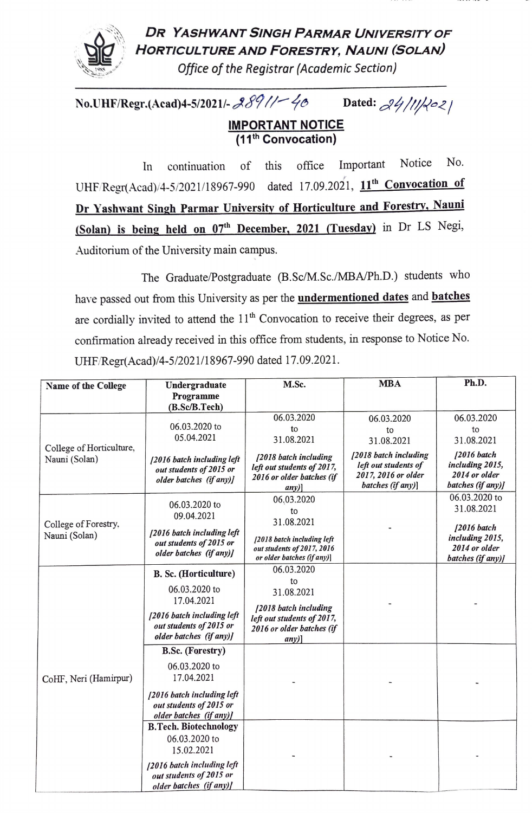

## DR YASHWANT SINGH PARMAR UNIVERSITY OF HORTICULTURE AND FORESTRY, NAUNI (SOLAN

office of the Registrar (Academic Section)

No.UHF/Regr.(Acad)4-5/2021/- 289//- 46 Dated:  $24/11/202$ 

## **IMPORTANT NOTICE** (11th Convocation)

In continuation of this office Important Notice No. UHF/Regr(Acad)/4-5/2021/18967-990 dated 17.09.2021, 11<sup>th</sup> Convocation of Dr Yashwant Singh Parmar Universitv of Horticulture and Forestrv, Nauni (Solan) is being held on 07<sup>th</sup> December, 2021 (Tuesday) in Dr LS Negi, Auditorium of the University main campus.

The Graduate/Postgraduate (B.Sc/M.Sc./MBA/Ph.D.) students who have passed out from this University as per the **undermentioned dates** and **batches** are cordially invited to attend the  $11<sup>th</sup>$  Convocation to receive their degrees, as per confirmation already received in this office from students, in response to Notice No. UHF/Regr(Acad)/4-5/2021/18967-990 dated 17.09.2021.

| Name of the College                       | Undergraduate                                                                        | M.Sc.                                                                                                | <b>MBA</b>                                                                                | Ph.D.                                                                  |
|-------------------------------------------|--------------------------------------------------------------------------------------|------------------------------------------------------------------------------------------------------|-------------------------------------------------------------------------------------------|------------------------------------------------------------------------|
|                                           | Programme<br>(B.Sc/B.Tech)                                                           |                                                                                                      |                                                                                           |                                                                        |
| College of Horticulture,<br>Nauni (Solan) |                                                                                      | 06.03.2020                                                                                           | 06.03.2020                                                                                | 06.03.2020                                                             |
|                                           | 06.03.2020 to<br>05.04.2021                                                          | to<br>31.08.2021                                                                                     | to<br>31.08.2021                                                                          | to<br>31.08.2021                                                       |
|                                           | [2016 batch including left<br>out students of 2015 or<br>older batches (if any)]     | [2018 batch including<br>left out students of 2017,<br>2016 or older batches (if<br>any)             | [2018 batch including<br>left out students of<br>2017, 2016 or older<br>batches (if any)] | $[2016$ batch<br>including 2015,<br>2014 or older<br>batches (if any)] |
| College of Forestry,<br>Nauni (Solan)     | 06.03.2020 to<br>09.04.2021                                                          | 06.03.2020<br>to<br>31.08.2021                                                                       |                                                                                           | 06.03.2020 to<br>31.08.2021                                            |
|                                           | [2016 batch including left<br>out students of 2015 or<br>older batches (if any)]     | [2018 batch including left<br>out students of 2017, 2016<br>or older batches (if any)]               |                                                                                           | $12016$ batch<br>including 2015,<br>2014 or older<br>batches (if any)] |
| CoHF, Neri (Hamirpur)                     | <b>B. Sc. (Horticulture)</b>                                                         | 06.03.2020                                                                                           |                                                                                           |                                                                        |
|                                           | 06.03.2020 to<br>17.04.2021<br>[2016 batch including left<br>out students of 2015 or | to<br>31.08.2021<br>[2018 batch including<br>left out students of 2017,<br>2016 or older batches (if |                                                                                           |                                                                        |
|                                           | older batches (if any)]                                                              | $any)$ ]                                                                                             |                                                                                           |                                                                        |
|                                           | <b>B.Sc. (Forestry)</b><br>06.03.2020 to<br>17.04.2021                               |                                                                                                      |                                                                                           |                                                                        |
|                                           | [2016 batch including left<br>out students of 2015 or<br>older batches (if any)]     |                                                                                                      |                                                                                           |                                                                        |
|                                           | <b>B.Tech. Biotechnology</b><br>06.03.2020 to<br>15.02.2021                          |                                                                                                      |                                                                                           |                                                                        |
|                                           | [2016 batch including left<br>out students of 2015 or<br>older batches (if any)]     |                                                                                                      |                                                                                           |                                                                        |